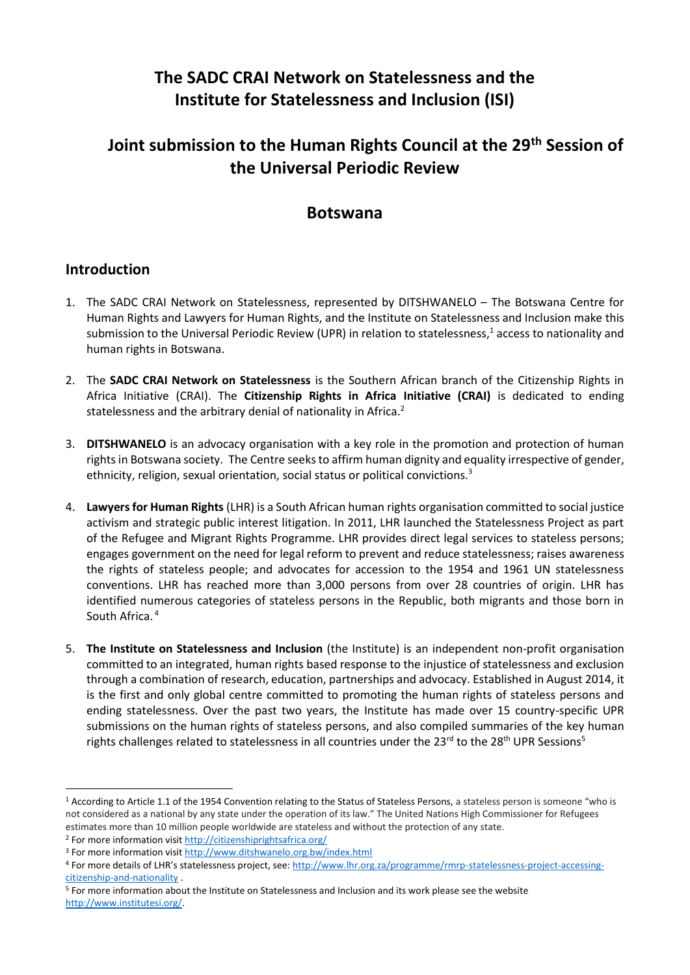# **The SADC CRAI Network on Statelessness and the Institute for Statelessness and Inclusion (ISI)**

# **Joint submission to the Human Rights Council at the 29th Session of the Universal Periodic Review**

## **Botswana**

#### **Introduction**

- 1. The SADC CRAI Network on Statelessness, represented by DITSHWANELO The Botswana Centre for Human Rights and Lawyers for Human Rights, and the Institute on Statelessness and Inclusion make this submission to the Universal Periodic Review (UPR) in relation to statelessness,<sup>1</sup> access to nationality and human rights in Botswana.
- 2. The **SADC CRAI Network on Statelessness** is the Southern African branch of the Citizenship Rights in Africa Initiative (CRAI). The **Citizenship Rights in Africa Initiative (CRAI)** is dedicated to ending statelessness and the arbitrary denial of nationality in Africa.<sup>2</sup>
- 3. **DITSHWANELO** is an advocacy organisation with a key role in the promotion and protection of human rights in Botswana society. The Centre seeks to affirm human dignity and equality irrespective of gender, ethnicity, religion, sexual orientation, social status or political convictions.<sup>3</sup>
- 4. **Lawyers for Human Rights** (LHR) is a South African human rights organisation committed to social justice activism and strategic public interest litigation. In 2011, LHR launched the Statelessness Project as part of the Refugee and Migrant Rights Programme. LHR provides direct legal services to stateless persons; engages government on the need for legal reform to prevent and reduce statelessness; raises awareness the rights of stateless people; and advocates for accession to the 1954 and 1961 UN statelessness conventions. LHR has reached more than 3,000 persons from over 28 countries of origin. LHR has identified numerous categories of stateless persons in the Republic, both migrants and those born in South Africa. <sup>4</sup>
- 5. **The Institute on Statelessness and Inclusion** (the Institute) is an independent non-profit organisation committed to an integrated, human rights based response to the injustice of statelessness and exclusion through a combination of research, education, partnerships and advocacy. Established in August 2014, it is the first and only global centre committed to promoting the human rights of stateless persons and ending statelessness. Over the past two years, the Institute has made over 15 country-specific UPR submissions on the human rights of stateless persons, and also compiled summaries of the key human rights challenges related to statelessness in all countries under the 23 $^{rd}$  to the 28<sup>th</sup> UPR Sessions<sup>5</sup>

**.** 

<sup>&</sup>lt;sup>1</sup> According to Article 1.1 of the 1954 Convention relating to the Status of Stateless Persons, a stateless person is someone "who is not considered as a national by any state under the operation of its law." The United Nations High Commissioner for Refugees estimates more than 10 million people worldwide are stateless and without the protection of any state.

<sup>&</sup>lt;sup>2</sup> For more information visi[t http://citizenshiprightsafrica.org/](http://citizenshiprightsafrica.org/)

<sup>3</sup> For more information visi[t http://www.ditshwanelo.org.bw/index.html](http://www.ditshwanelo.org.bw/index.html)

<sup>4</sup> For more details of LHR's statelessness project, see: [http://www.lhr.org.za/programme/rmrp-statelessness-project-accessing](http://www.lhr.org.za/programme/rmrp-statelessness-project-accessing-citizenship-and-nationality)[citizenship-and-nationality](http://www.lhr.org.za/programme/rmrp-statelessness-project-accessing-citizenship-and-nationality) .

<sup>5</sup> For more information about the Institute on Statelessness and Inclusion and its work please see the website [http://www.institutesi.org/.](http://www.institutesi.org/)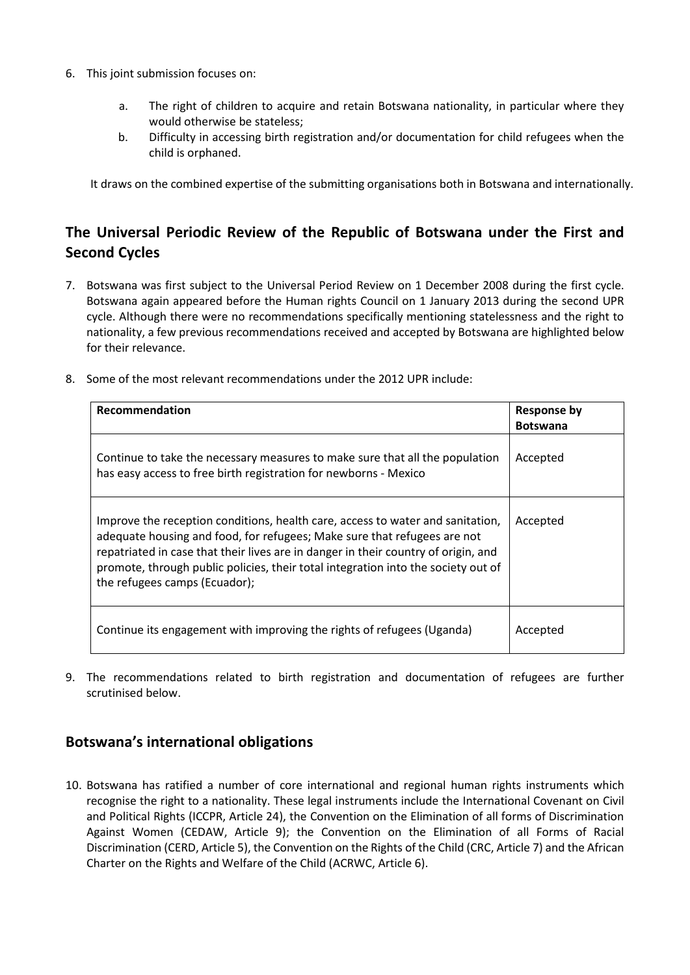- 6. This joint submission focuses on:
	- a. The right of children to acquire and retain Botswana nationality, in particular where they would otherwise be stateless;
	- b. Difficulty in accessing birth registration and/or documentation for child refugees when the child is orphaned.

It draws on the combined expertise of the submitting organisations both in Botswana and internationally.

## **The Universal Periodic Review of the Republic of Botswana under the First and Second Cycles**

- 7. Botswana was first subject to the Universal Period Review on 1 December 2008 during the first cycle. Botswana again appeared before the Human rights Council on 1 January 2013 during the second UPR cycle. Although there were no recommendations specifically mentioning statelessness and the right to nationality, a few previous recommendations received and accepted by Botswana are highlighted below for their relevance.
- 8. Some of the most relevant recommendations under the 2012 UPR include:

| Recommendation                                                                                                                                                                                                                                                                                                                                                         | <b>Response by</b><br><b>Botswana</b> |
|------------------------------------------------------------------------------------------------------------------------------------------------------------------------------------------------------------------------------------------------------------------------------------------------------------------------------------------------------------------------|---------------------------------------|
| Continue to take the necessary measures to make sure that all the population<br>has easy access to free birth registration for newborns - Mexico                                                                                                                                                                                                                       | Accepted                              |
| Improve the reception conditions, health care, access to water and sanitation,<br>adequate housing and food, for refugees; Make sure that refugees are not<br>repatriated in case that their lives are in danger in their country of origin, and<br>promote, through public policies, their total integration into the society out of<br>the refugees camps (Ecuador); | Accepted                              |
| Continue its engagement with improving the rights of refugees (Uganda)                                                                                                                                                                                                                                                                                                 | Accepted                              |

9. The recommendations related to birth registration and documentation of refugees are further scrutinised below.

### **Botswana's international obligations**

10. Botswana has ratified a number of core international and regional human rights instruments which recognise the right to a nationality. These legal instruments include the International Covenant on Civil and Political Rights (ICCPR, Article 24), the Convention on the Elimination of all forms of Discrimination Against Women (CEDAW, Article 9); the Convention on the Elimination of all Forms of Racial Discrimination (CERD, Article 5), the Convention on the Rights of the Child (CRC, Article 7) and the African Charter on the Rights and Welfare of the Child (ACRWC, Article 6).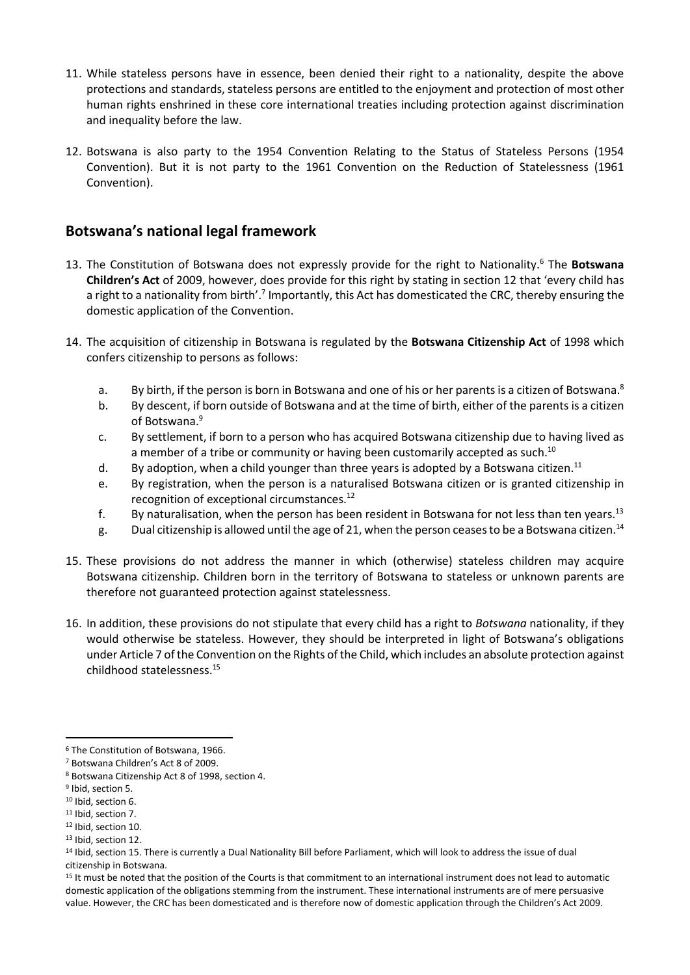- 11. While stateless persons have in essence, been denied their right to a nationality, despite the above protections and standards, stateless persons are entitled to the enjoyment and protection of most other human rights enshrined in these core international treaties including protection against discrimination and inequality before the law.
- 12. Botswana is also party to the 1954 Convention Relating to the Status of Stateless Persons (1954 Convention). But it is not party to the 1961 Convention on the Reduction of Statelessness (1961 Convention).

### **Botswana's national legal framework**

- 13. The Constitution of Botswana does not expressly provide for the right to Nationality.<sup>6</sup> The **Botswana Children's Act** of 2009, however, does provide for this right by stating in section 12 that 'every child has a right to a nationality from birth'.<sup>7</sup> Importantly, this Act has domesticated the CRC, thereby ensuring the domestic application of the Convention.
- 14. The acquisition of citizenship in Botswana is regulated by the **Botswana Citizenship Act** of 1998 which confers citizenship to persons as follows:
	- a. By birth, if the person is born in Botswana and one of his or her parents is a citizen of Botswana.<sup>8</sup>
	- b. By descent, if born outside of Botswana and at the time of birth, either of the parents is a citizen of Botswana.<sup>9</sup>
	- c. By settlement, if born to a person who has acquired Botswana citizenship due to having lived as a member of a tribe or community or having been customarily accepted as such.<sup>10</sup>
	- d. By adoption, when a child younger than three years is adopted by a Botswana citizen.<sup>11</sup>
	- e. By registration, when the person is a naturalised Botswana citizen or is granted citizenship in recognition of exceptional circumstances.<sup>12</sup>
	- f. By naturalisation, when the person has been resident in Botswana for not less than ten vears.<sup>13</sup>
	- g. Dual citizenship is allowed until the age of 21, when the person ceases to be a Botswana citizen. 14
- 15. These provisions do not address the manner in which (otherwise) stateless children may acquire Botswana citizenship. Children born in the territory of Botswana to stateless or unknown parents are therefore not guaranteed protection against statelessness.
- 16. In addition, these provisions do not stipulate that every child has a right to *Botswana* nationality, if they would otherwise be stateless. However, they should be interpreted in light of Botswana's obligations under Article 7 of the Convention on the Rights of the Child, which includes an absolute protection against childhood statelessness. 15

1

<sup>11</sup> Ibid, section 7.

<sup>6</sup> The Constitution of Botswana, 1966.

<sup>7</sup> Botswana Children's Act 8 of 2009.

<sup>8</sup> Botswana Citizenship Act 8 of 1998, section 4.

<sup>&</sup>lt;sup>9</sup> Ibid, section 5.

<sup>10</sup> Ibid, section 6.

<sup>12</sup> Ibid, section 10.

<sup>&</sup>lt;sup>13</sup> Ibid, section 12.

<sup>14</sup> Ibid, section 15. There is currently a Dual Nationality Bill before Parliament, which will look to address the issue of dual citizenship in Botswana.

<sup>&</sup>lt;sup>15</sup> It must be noted that the position of the Courts is that commitment to an international instrument does not lead to automatic domestic application of the obligations stemming from the instrument. These international instruments are of mere persuasive value. However, the CRC has been domesticated and is therefore now of domestic application through the Children's Act 2009.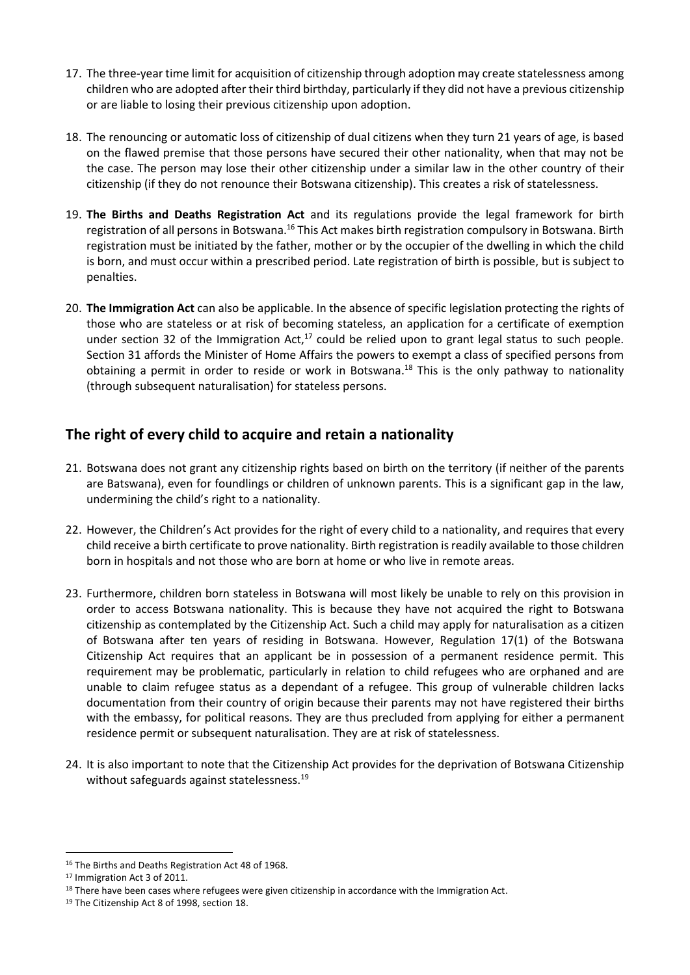- 17. The three-year time limit for acquisition of citizenship through adoption may create statelessness among children who are adopted after their third birthday, particularly if they did not have a previous citizenship or are liable to losing their previous citizenship upon adoption.
- 18. The renouncing or automatic loss of citizenship of dual citizens when they turn 21 years of age, is based on the flawed premise that those persons have secured their other nationality, when that may not be the case. The person may lose their other citizenship under a similar law in the other country of their citizenship (if they do not renounce their Botswana citizenship). This creates a risk of statelessness.
- 19. **The Births and Deaths Registration Act** and its regulations provide the legal framework for birth registration of all persons in Botswana.<sup>16</sup> This Act makes birth registration compulsory in Botswana. Birth registration must be initiated by the father, mother or by the occupier of the dwelling in which the child is born, and must occur within a prescribed period. Late registration of birth is possible, but is subject to penalties.
- 20. **The Immigration Act** can also be applicable. In the absence of specific legislation protecting the rights of those who are stateless or at risk of becoming stateless, an application for a certificate of exemption under section 32 of the Immigration Act, $17$  could be relied upon to grant legal status to such people. Section 31 affords the Minister of Home Affairs the powers to exempt a class of specified persons from obtaining a permit in order to reside or work in Botswana.<sup>18</sup> This is the only pathway to nationality (through subsequent naturalisation) for stateless persons.

## **The right of every child to acquire and retain a nationality**

- 21. Botswana does not grant any citizenship rights based on birth on the territory (if neither of the parents are Batswana), even for foundlings or children of unknown parents. This is a significant gap in the law, undermining the child's right to a nationality.
- 22. However, the Children's Act provides for the right of every child to a nationality, and requires that every child receive a birth certificate to prove nationality. Birth registration is readily available to those children born in hospitals and not those who are born at home or who live in remote areas.
- 23. Furthermore, children born stateless in Botswana will most likely be unable to rely on this provision in order to access Botswana nationality. This is because they have not acquired the right to Botswana citizenship as contemplated by the Citizenship Act. Such a child may apply for naturalisation as a citizen of Botswana after ten years of residing in Botswana. However, Regulation 17(1) of the Botswana Citizenship Act requires that an applicant be in possession of a permanent residence permit. This requirement may be problematic, particularly in relation to child refugees who are orphaned and are unable to claim refugee status as a dependant of a refugee. This group of vulnerable children lacks documentation from their country of origin because their parents may not have registered their births with the embassy, for political reasons. They are thus precluded from applying for either a permanent residence permit or subsequent naturalisation. They are at risk of statelessness.
- 24. It is also important to note that the Citizenship Act provides for the deprivation of Botswana Citizenship without safeguards against statelessness.<sup>19</sup>

<sup>1</sup> <sup>16</sup> The Births and Deaths Registration Act 48 of 1968.

<sup>17</sup> Immigration Act 3 of 2011.

<sup>&</sup>lt;sup>18</sup> There have been cases where refugees were given citizenship in accordance with the Immigration Act.

<sup>19</sup> The Citizenship Act 8 of 1998, section 18.